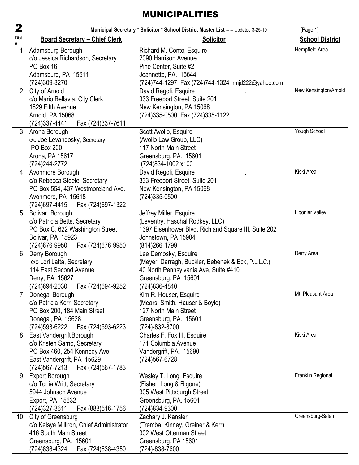| <b>MUNICIPALITIES</b> |                                                                                                                                                              |                                                                                                                                                               |                        |
|-----------------------|--------------------------------------------------------------------------------------------------------------------------------------------------------------|---------------------------------------------------------------------------------------------------------------------------------------------------------------|------------------------|
| 2                     |                                                                                                                                                              | Municipal Secretary * Solicitor * School District Master List = = Updated 3-25-19                                                                             | (Page 1)               |
| Dist.<br>#            | <b>Board Secretary - Chief Clerk</b>                                                                                                                         | <b>Solicitor</b>                                                                                                                                              | <b>School District</b> |
| 1                     | Adamsburg Borough<br>c/o Jessica Richardson, Secretary<br>PO Box 16<br>Adamsburg, PA 15611<br>(724)309-3270                                                  | Richard M. Conte, Esquire<br>2090 Harrison Avenue<br>Pine Center, Suite #2<br>Jeannette, PA. 15644<br>(724)744-1297 Fax (724)744-1324 rmjd222@yahoo.com       | Hempfield Area         |
| $\overline{2}$        | City of Arnold<br>c/o Mario Bellavia, City Clerk<br>1829 Fifth Avenue<br>Arnold, PA 15068<br>(724) 337-4441<br>Fax (724)337-7611                             | David Regoli, Esquire<br>333 Freeport Street, Suite 201<br>New Kensington, PA 15068<br>(724)335-0500 Fax (724)335-1122                                        | New Kensington/Arnold  |
| 3                     | Arona Borough<br>c/o Joe Levandosky, Secretary<br><b>PO Box 200</b><br>Arona, PA 15617<br>(724) 244-2772                                                     | Scott Avolio, Esquire<br>(Avolio Law Group, LLC)<br>117 North Main Street<br>Greensburg, PA. 15601<br>(724)834-1002 x100                                      | Yough School           |
| 4                     | Avonmore Borough<br>c/o Rebecca Steele, Secretary<br>PO Box 554, 437 Westmoreland Ave.<br>Avonmore, PA 15618<br>(724)697-4415<br>Fax (724)697-1322           | David Regoli, Esquire<br>333 Freeport Street, Suite 201<br>New Kensington, PA 15068<br>(724)335-0500                                                          | Kiski Area             |
| 5                     | Bolivar Borough<br>c/o Patricia Betts, Secretary<br>PO Box C, 622 Washington Street<br>Bolivar, PA 15923<br>(724) 676-9950<br>Fax (724)676-9950              | Jeffrey Miller, Esquire<br>(Leventry, Haschal Rodkey, LLC)<br>1397 Eisenhower Blvd, Richland Square III, Suite 202<br>Johnstown, PA 15904<br>(814) 266-1799   | Ligonier Valley        |
| 6                     | Derry Borough<br>c/o Lori Latta, Secretary<br>114 East Second Avenue<br>Derry, PA 15627<br>(724)694-2030<br>Fax (724)694-9252                                | Lee Demosky, Esquire<br>(Meyer, Darragh, Buckler, Bebenek & Eck, P.L.L.C.)<br>40 North Pennsylvania Ave, Suite #410<br>Greensburg, PA 15601<br>(724) 836-4840 | Derry Area             |
| $\overline{7}$        | Donegal Borough<br>c/o Patricia Kerr, Secretary<br>PO Box 200, 184 Main Street<br>Donegal, PA 15628<br>(724) 593-6222    Fax (724) 593-6223                  | Kim R. Houser, Esquire<br>(Mears, Smith, Hauser & Boyle)<br>127 North Main Street<br>Greensburg, PA. 15601<br>(724)-832-8700                                  | Mt. Pleasant Area      |
| 8                     | East Vandergrift Borough<br>c/o Kristen Sarno, Secretary<br>PO Box 460, 254 Kennedy Ave<br>East Vandergrift, PA 15629<br>(724) 567-7213<br>Fax (724)567-1783 | Charles F. Fox III, Esquire<br>171 Columbia Avenue<br>Vandergrift, PA. 15690<br>(724) 567-6728                                                                | Kiski Area             |
| 9                     | <b>Export Borough</b><br>c/o Tonia Writt, Secretary<br>5944 Johnson Avenue<br>Export, PA 15632<br>$(724)327 - 3611$<br>Fax (888)516-1756                     | Wesley T. Long, Esquire<br>(Fisher, Long & Rigone)<br>305 West Pittsburgh Street<br>Greensburg, PA. 15601<br>(724)834-9300                                    | Franklin Regional      |
| 10 <sup>°</sup>       | City of Greensburg<br>c/o Kelsye Milliron, Chief Administrator<br>416 South Main Street<br>Greensburg, PA. 15601<br>(724)838-4324    Fax (724)838-4350       | Zachary J. Kansler<br>(Tremba, Kinney, Greiner & Kerr)<br>302 West Otterman Street<br>Greensburg, PA 15601<br>(724)-838-7600                                  | Greensburg-Salem       |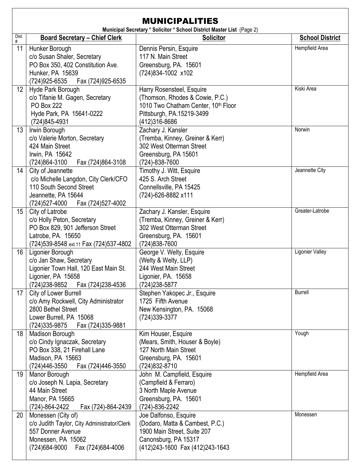| <b>MUNICIPALITIES</b><br>Municipal Secretary * Solicitor * School District Master List (Page 2) |                                                                                                                                                       |                                                                                                                                                    |                        |
|-------------------------------------------------------------------------------------------------|-------------------------------------------------------------------------------------------------------------------------------------------------------|----------------------------------------------------------------------------------------------------------------------------------------------------|------------------------|
| Dist.<br>#                                                                                      | <b>Board Secretary - Chief Clerk</b>                                                                                                                  | <b>Solicitor</b>                                                                                                                                   | <b>School District</b> |
| 11                                                                                              | Hunker Borough<br>c/o Susan Shaler, Secretary<br>PO Box 350, 402 Constitution Ave.<br>Hunker, PA 15639<br>(724)925-6535<br>Fax (724)925-6535          | Dennis Persin, Esquire<br>117 N. Main Street<br>Greensburg, PA. 15601<br>(724)834-1002 x102                                                        | Hempfield Area         |
| 12 <sup>°</sup>                                                                                 | Hyde Park Borough<br>c/o Tifanie M. Gagen, Secretary<br><b>PO Box 222</b><br>Hyde Park, PA 15641-0222<br>(724)845-4931                                | Harry Rosensteel, Esquire<br>(Thomson, Rhodes & Cowie, P.C.)<br>1010 Two Chatham Center, 10th Floor<br>Pittsburgh, PA.15219-3499<br>(412) 316-8686 | Kiski Area             |
| 13                                                                                              | Irwin Borough<br>c/o Valerie Morton, Secretary<br>424 Main Street<br>Irwin, PA 15642<br>(724)864-3100<br>Fax (724)864-3108                            | Zachary J. Kansler<br>(Tremba, Kinney, Greiner & Kerr)<br>302 West Otterman Street<br>Greensburg, PA 15601<br>(724)-838-7600                       | Norwin                 |
| 14                                                                                              | City of Jeannette<br>c/o Michelle Langdon, City Clerk/CFO<br>110 South Second Street<br>Jeannette, PA 15644<br>Fax (724)527-4002<br>(724)527-4000     | Timothy J. Witt, Esquire<br>425 S. Arch Street<br>Connellsville, PA 15425<br>(724)-626-8882 x111                                                   | Jeannette City         |
| 15 <sup>15</sup>                                                                                | City of Latrobe<br>c/o Holly Peton, Secretary<br>PO Box 829, 901 Jefferson Street<br>Latrobe, PA. 15650<br>(724) 539-8548 ext.11 Fax (724) 537-4802   | Zachary J. Kansler, Esquire<br>(Tremba, Kinney, Greiner & Kerr)<br>302 West Otterman Street<br>Greensburg, PA. 15601<br>(724) 838-7600             | Greater-Latrobe        |
| 16                                                                                              | Ligonier Borough<br>c/o Jan Shaw, Secretary<br>Ligonier Town Hall, 120 East Main St.<br>Ligonier, PA 15658<br>(724)238-9852 Fax (724)238-4536         | George V. Welty, Esquire<br>(Welty & Welty, LLP)<br>244 West Main Street<br>Ligonier, PA. 15658<br>(724) 238-5877                                  | Ligonier Valley        |
| 17                                                                                              | City of Lower Burrell<br>c/o Amy Rockwell, City Administrator<br>2800 Bethel Street<br>Lower Burrell, PA 15068<br>(724) 335-9875<br>Fax (724)335-9881 | Stephen Yakopec Jr., Esquire<br>1725 Fifth Avenue<br>New Kensington, PA. 15068<br>(724)339-3377                                                    | <b>Burrell</b>         |
| 18                                                                                              | Madison Borough<br>c/o Cindy Ignaczak, Secretary<br>PO Box 338, 21 Firehall Lane<br>Madison, PA 15663<br>(724)446-3550<br>Fax (724)446-3550           | Kim Houser, Esquire<br>(Mears, Smith, Houser & Boyle)<br>127 North Main Street<br>Greensburg, PA. 15601<br>(724) 832-8710                          | Yough                  |
| 19                                                                                              | Manor Borough<br>c/o Joseph N. Lapia, Secretary<br>44 Main Street<br>Manor, PA 15665<br>(724)-864-2422<br>Fax (724)-864-2439                          | John M. Campfield, Esquire<br>(Campfield & Ferraro)<br>3 North Maple Avenue<br>Greensburg, PA. 15601<br>(724)-836-2242                             | Hempfield Area         |
| 20                                                                                              | Monessen (City of)<br>c/o Judith Taylor, City Administrator/Clerk<br>557 Donner Avenue<br>Monessen, PA 15062<br>(724)684-9000 Fax (724)684-4006       | Joe Dalfonso, Esquire<br>(Dodaro, Matta & Cambest, P.C.)<br>1900 Main Street, Suite 207<br>Canonsburg, PA 15317<br>(412)243-1600 Fax (412)243-1643 | Monessen               |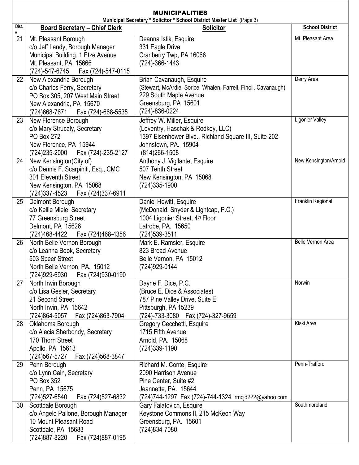| <b>MUNICIPALITIES</b><br>Municipal Secretary * Solicitor * School District Master List (Page 3) |                                                                                                                                                                 |                                                                                                                                                                       |                        |  |
|-------------------------------------------------------------------------------------------------|-----------------------------------------------------------------------------------------------------------------------------------------------------------------|-----------------------------------------------------------------------------------------------------------------------------------------------------------------------|------------------------|--|
| Dist.                                                                                           | <b>Board Secretary - Chief Clerk</b>                                                                                                                            | <b>Solicitor</b>                                                                                                                                                      | <b>School District</b> |  |
| #<br>21                                                                                         | Mt. Pleasant Borough<br>c/o Jeff Landy, Borough Manager<br>Municipal Building, 1 Etze Avenue<br>Mt. Pleasant, PA 15666<br>(724)-547-6745<br>Fax (724)-547-0115  | Deanna Istik, Esquire<br>331 Eagle Drive<br>Cranberry Twp, PA 16066<br>(724)-366-1443                                                                                 | Mt. Pleasant Area      |  |
| 22                                                                                              | New Alexandria Borough<br>c/o Charles Ferry, Secretary<br>PO Box 305, 207 West Main Street<br>New Alexandria, PA 15670<br>(724) 668-7671    Fax (724) -668-5535 | Brian Cavanaugh, Esquire<br>(Stewart, McArdle, Sorice, Whalen, Farrell, Finoli, Cavanaugh)<br>229 South Maple Avenue<br>Greensburg, PA 15601<br>(724)-836-0224        | Derry Area             |  |
| 23                                                                                              | New Florence Borough<br>c/o Mary Strucaly, Secretary<br><b>PO Box 272</b><br>New Florence, PA 15944<br>(724) 235-2000    Fax (724) - 235-2127                   | Jeffrey W. Miller, Esquire<br>(Leventry, Haschak & Rodkey, LLC)<br>1397 Eisenhower Blvd., Richland Square III, Suite 202<br>Johnstown, PA. 15904<br>$(814)266 - 1508$ | Ligonier Valley        |  |
| 24                                                                                              | New Kensington(City of)<br>c/o Dennis F. Scarpiniti, Esq., CMC<br>301 Eleventh Street<br>New Kensington, PA. 15068<br>(724)337-4523<br>Fax (724)337-6911        | Anthony J. Vigilante, Esquire<br>507 Tenth Street<br>New Kensington, PA 15068<br>(724) 335-1900                                                                       | New Kensington/Arnold  |  |
| 25                                                                                              | Delmont Borough<br>c/o Kellie Miele, Secretary<br>77 Greensburg Street<br>Delmont, PA 15626<br>(724)468-4422 Fax (724)468-4356                                  | Daniel Hewitt, Esquire<br>(McDonald, Snyder & Lightcap, P.C.)<br>1004 Ligonier Street, 4 <sup>th</sup> Floor<br>Latrobe, PA. 15650<br>(724) 539-3511                  | Franklin Regional      |  |
| 26                                                                                              | North Belle Vernon Borough<br>c/o Leanna Book, Secretary<br>503 Speer Street<br>North Belle Vernon, PA. 15012<br>(724)929-6930<br>Fax (724)930-0190             | Mark E. Ramsier, Esquire<br>823 Broad Avenue<br>Belle Vernon, PA 15012<br>(724) 929-0144                                                                              | Belle Vernon Area      |  |
| 27                                                                                              | North Irwin Borough<br>c/o Lisa Gesler, Secretary<br>21 Second Street<br>North Irwin, PA 15642<br>(724)864-5057    Fax (724)863-7904                            | Dayne F. Dice, P.C.<br>(Bruce E. Dice & Associates)<br>787 Pine Valley Drive, Suite E<br>Pittsburgh, PA 15239<br>(724)-733-3080  Fax (724)-327-9659                   | Norwin                 |  |
| 28                                                                                              | Oklahoma Borough<br>c/o Alecia Sherbondy, Secretary<br>170 Thorn Street<br>Apollo, PA 15613<br>(724) 567-5727<br>Fax (724)568-3847                              | Gregory Cecchetti, Esquire<br>1715 Fifth Avenue<br>Arnold, PA. 15068<br>(724) 339-1190                                                                                | Kiski Area             |  |
| 29                                                                                              | Penn Borough<br>c/o Lynn Cain, Secretary<br>PO Box 352<br>Penn, PA 15675<br>(724) 527-6540<br>Fax (724)527-6832                                                 | Richard M. Conte, Esquire<br>2090 Harrison Avenue<br>Pine Center, Suite #2<br>Jeannette, PA. 15644<br>(724)744-1297 Fax (724)-744-1324 rmcjd222@yahoo.com             | Penn-Trafford          |  |
| 30                                                                                              | Scottdale Borough<br>c/o Angelo Pallone, Borough Manager<br>10 Mount Pleasant Road<br>Scottdale, PA 15683<br>(724)887-8220<br>Fax (724)887-0195                 | Gary Falatovich, Esquire<br>Keystone Commons II, 215 McKeon Way<br>Greensburg, PA. 15601<br>(724) 834-7080                                                            | Southmoreland          |  |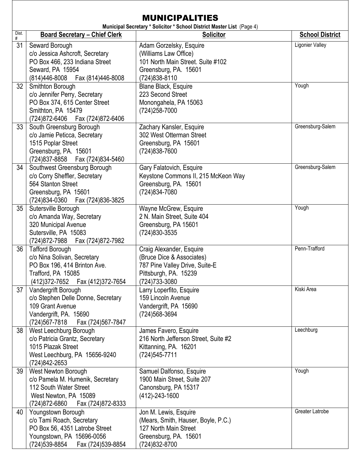|            | <b>MUNICIPALITIES</b><br>Municipal Secretary * Solicitor * School District Master List (Page 4)                                                      |                                                                                                                                    |                        |  |
|------------|------------------------------------------------------------------------------------------------------------------------------------------------------|------------------------------------------------------------------------------------------------------------------------------------|------------------------|--|
| Dist.<br># | <b>Board Secretary - Chief Clerk</b>                                                                                                                 | <b>Solicitor</b>                                                                                                                   | <b>School District</b> |  |
| 31         | Seward Borough<br>c/o Jessica Ashcroft, Secretary<br>PO Box 466, 233 Indiana Street<br>Seward, PA 15954<br>(814)446-8008  Fax (814)446-8008          | Adam Gorzelsky, Esquire<br>(Williams Law Office)<br>101 North Main Street. Suite #102<br>Greensburg, PA. 15601<br>(724)838-8110    | Ligonier Valley        |  |
| 32         | Smithton Borough<br>c/o Jennifer Perry, Secretary<br>PO Box 374, 615 Center Street<br>Smithton, PA 15479<br>(724)872-6406    Fax (724)872-6406       | Blane Black, Esquire<br>223 Second Street<br>Monongahela, PA 15063<br>(724) 258-7000                                               | Yough                  |  |
| 33         | South Greensburg Borough<br>c/o Jamie Peticca, Secretary<br>1515 Poplar Street<br>Greensburg, PA. 15601<br>(724)837-8858    Fax (724)834-5460        | Zachary Kansler, Esquire<br>302 West Otterman Street<br>Greensburg, PA 15601<br>(724) 838-7600                                     | Greensburg-Salem       |  |
| 34         | Southwest Greensburg Borough<br>c/o Corry Sheffler, Secretary<br>564 Stanton Street<br>Greensburg, PA 15601<br>(724)834-0360  Fax (724)836-3825      | Gary Falatovich, Esquire<br>Keystone Commons II, 215 McKeon Way<br>Greensburg, PA. 15601<br>(724) 834-7080                         | Greensburg-Salem       |  |
| 35         | Sutersville Borough<br>c/o Amanda Way, Secretary<br>320 Municipal Avenue<br>Sutersville, PA 15083<br>(724) 872-7988<br>Fax (724)872-7982             | Wayne McGrew, Esquire<br>2 N. Main Street, Suite 404<br>Greensburg, PA 15601<br>(724)830-3535                                      | Yough                  |  |
| 36         | <b>Tafford Borough</b><br>c/o Nina Solivan, Secretary<br>PO Box 196, 414 Brinton Ave.<br>Trafford, PA 15085<br>(412) 372-7652  Fax (412) 372-7654    | Craig Alexander, Esquire<br>(Bruce Dice & Associates)<br>787 Pine Valley Drive, Suite-E<br>Pittsburgh, PA. 15239<br>(724) 733-3080 | Penn-Trafford          |  |
| 37         | Vandergrift Borough<br>c/o Stephen Delle Donne, Secretary<br>109 Grant Avenue<br>Vandergrift, PA. 15690<br>(724)567-7818<br>Fax (724)567-7847        | Larry Loperfito, Esquire<br>159 Lincoln Avenue<br>Vandergrift, PA 15690<br>(724) 568-3694                                          | Kiski Area             |  |
| 38         | West Leechburg Borough<br>c/o Patricia Grantz, Secretary<br>1015 Plazak Street<br>West Leechburg, PA 15656-9240<br>(724)842-2653                     | James Favero, Esquire<br>216 North Jefferson Street, Suite #2<br>Kittanning, PA. 16201<br>(724) 545-7711                           | Leechburg              |  |
| 39         | West Newton Borough<br>c/o Pamela M. Humenik, Secretary<br>112 South Water Street<br>West Newton, PA 15089<br>(724)872-6860<br>Fax (724)872-8333     | Samuel Dalfonso, Esquire<br>1900 Main Street, Suite 207<br>Canonsburg, PA 15317<br>(412)-243-1600                                  | Yough                  |  |
| 40         | Youngstown Borough<br>c/o Tami Roach, Secretary<br>PO Box 56, 4351 Latrobe Street<br>Youngstown, PA 15696-0056<br>(724)539-8854<br>Fax (724)539-8854 | Jon M. Lewis, Esquire<br>(Mears, Smith, Hauser, Boyle, P.C.)<br>127 North Main Street<br>Greensburg, PA. 15601<br>(724) 832-8700   | Greater Latrobe        |  |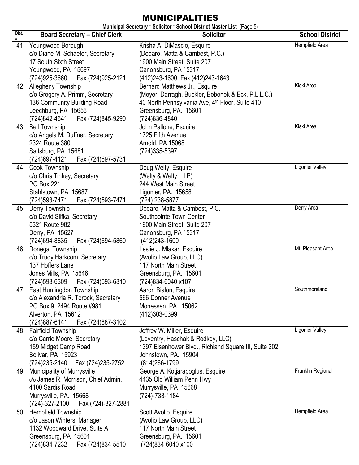|         | <b>MUNICIPALITIES</b>                                                                                                                                     |                                                                                                                                                                                               |                        |  |
|---------|-----------------------------------------------------------------------------------------------------------------------------------------------------------|-----------------------------------------------------------------------------------------------------------------------------------------------------------------------------------------------|------------------------|--|
| Dist.   | <b>Board Secretary - Chief Clerk</b>                                                                                                                      | Municipal Secretary * Solicitor * School District Master List (Page 5)<br><b>Solicitor</b>                                                                                                    | <b>School District</b> |  |
| #<br>41 | Youngwood Borough<br>c/o Diane M. Schaefer, Secretary<br>17 South Sixth Street<br>Youngwood, PA 15697<br>(724)925-3660<br>Fax (724)925-2121               | Krisha A. DiMascio, Esquire<br>(Dodaro, Matta & Cambest, P.C.)<br>1900 Main Street, Suite 207<br>Canonsburg, PA 15317<br>(412)243-1600 Fax (412)243-1643                                      | Hempfield Area         |  |
| 42      | Allegheny Township<br>c/o Gregory A. Primm, Secretary<br>136 Community Building Road<br>Leechburg, PA 15656<br>(724)842-4641<br>Fax (724)845-9290         | Bernard Matthews Jr., Esquire<br>(Meyer, Darragh, Buckler, Bebenek & Eck, P.L.L.C.)<br>40 North Pennsylvania Ave, 4 <sup>th</sup> Floor, Suite 410<br>Greensburg, PA. 15601<br>(724) 836-4840 | Kiski Area             |  |
| 43      | <b>Bell Township</b><br>c/o Angela M. Duffner, Secretary<br>2324 Route 380<br>Saltsburg, PA 15681<br>(724) 697-4121<br>Fax (724)697-5731                  | John Pallone, Esquire<br>1725 Fifth Avenue<br>Arnold, PA 15068<br>(724) 335-5397                                                                                                              | Kiski Area             |  |
| 44      | Cook Township<br>c/o Chris Tinkey, Secretary<br><b>PO Box 221</b><br>Stahlstown, PA 15687<br>(724) 593-7471<br>Fax (724)593-7471                          | Doug Welty, Esquire<br>(Welty & Welty, LLP)<br>244 West Main Street<br>Ligonier, PA. 15658<br>(724) 238-5877                                                                                  | Ligonier Valley        |  |
| 45      | Derry Township<br>c/o David Slifka, Secretary<br>5321 Route 982<br>Derry, PA 15627<br>(724)694-8835<br>Fax (724)694-5860                                  | Dodaro, Matta & Cambest, P.C.<br>Southpointe Town Center<br>1900 Main Street, Suite 207<br>Canonsburg, PA 15317<br>(412) 243-1600                                                             | Derry Area             |  |
| 46      | Donegal Township<br>c/o Trudy Harkcom, Secretary<br>137 Hoffers Lane<br>Jones Mills, PA 15646<br>(724)593-6309<br>Fax (724)593-6310                       | Leslie J. Mlakar, Esquire<br>(Avolio Law Group, LLC)<br>117 North Main Street<br>Greensburg, PA. 15601<br>(724)834-6040 x107                                                                  | Mt. Pleasant Area      |  |
| 47      | East Huntingdon Township<br>c/o Alexandria R. Torock, Secretary<br>PO Box 9, 2494 Route #981<br>Alverton, PA 15612<br>(724) 887-6141<br>Fax (724)887-3102 | Aaron Bialon, Esquire<br>566 Donner Avenue<br>Monessen, PA. 15062<br>(412)303-0399                                                                                                            | Southmoreland          |  |
| 48      | <b>Fairfield Township</b><br>c/o Carrie Moore, Secretary<br>159 Midget Camp Road<br>Bolivar, PA 15923<br>(724)235-2140    Fax (724)235-2752               | Jeffrey W. Miller, Esquire<br>(Leventry, Haschak & Rodkey, LLC)<br>1397 Eisenhower Blvd., Richland Square III, Suite 202<br>Johnstown, PA. 15904<br>(814) 266-1799                            | <b>Ligonier Valley</b> |  |
| 49      | Municipality of Murrysville<br>c/o James R. Morrison, Chief Admin.<br>4100 Sardis Road<br>Murrysville, PA. 15668<br>Fax (724)-327-2881<br>(724)-327-2100  | George A. Kotjarapoglus, Esquire<br>4435 Old William Penn Hwy<br>Murrysville, PA 15668<br>(724)-733-1184                                                                                      | Franklin-Regional      |  |
| 50      | Hempfield Township<br>c/o Jason Winters, Manager<br>1132 Woodward Drive, Suite A<br>Greensburg, PA 15601<br>(724)834-7232<br>Fax (724)834-5510            | Scott Avolio, Esquire<br>(Avolio Law Group, LLC)<br>117 North Main Street<br>Greensburg, PA. 15601<br>(724)834-6040 x100                                                                      | Hempfield Area         |  |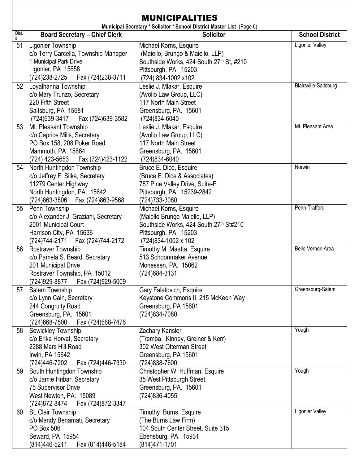|            | <b>MUNICIPALITIES</b>                                                                                                                                     |                                                                                                                                                        |                        |  |
|------------|-----------------------------------------------------------------------------------------------------------------------------------------------------------|--------------------------------------------------------------------------------------------------------------------------------------------------------|------------------------|--|
| Dist.<br># | <b>Board Secretary - Chief Clerk</b>                                                                                                                      | Municipal Secretary * Solicitor * School District Master List (Page 6)<br><b>Solicitor</b>                                                             | <b>School District</b> |  |
| 51         | Ligonier Township<br>c/o Terry Carcella, Township Manager<br>1 Municipal Park Drive<br>Ligonier, PA 15658<br>(724)238-2725<br>Fax (724)238-3711           | Michael Korns, Esquire<br>(Maiello, Brungo & Maiello, LLP)<br>Southside Works, 424 South 27th St, #210<br>Pittsburgh, PA. 15203<br>(724) 834-1002 x102 | Ligonier Valley        |  |
| 52         | Loyalhanna Township<br>c/o Mary Trunzo, Secretary<br>220 Fifth Street<br>Saltsburg, PA 15681<br>(724) 639-3417<br>Fax (724)639-3582                       | Leslie J. Mlakar, Esquire<br>(Avolio Law Group, LLC)<br>117 North Main Street<br>Greensburg, PA. 15601<br>(724)834-6040                                | Blairsville-Saltsburg  |  |
| 53         | Mt. Pleasant Township<br>c/o Caprice Mills, Secretary<br>PO Box 158, 208 Poker Road<br>Mammoth, PA 15664<br>(724) 423-5653<br>Fax (724)423-1122           | Leslie J. Mlakar, Esquire<br>(Avolio Law Group, LLC)<br>117 North Main Street<br>Greensburg, PA. 15601<br>(724) 834-6040                               | Mt. Pleasant Area      |  |
| 54         | North Huntingdon Township<br>c/o Jeffrey F. Silka, Secretary<br>11279 Center Highway<br>North Huntingdon, PA. 15642<br>(724)863-3806<br>Fax (724)863-9568 | Bruce E. Dice, Esquire<br>(Bruce E. Dice & Associates)<br>787 Pine Valley Drive, Suite-E<br>Pittsburgh, PA. 15239-2842<br>(724) 733-3080               | Norwin                 |  |
| 55         | Penn Township<br>c/o Alexander J. Graziani, Secretary<br>2001 Municipal Court<br>Harrison City, PA 15636<br>(724)744-2171<br>Fax (724)744-2172            | Michael Korns, Esquire<br>(Maiello Brungo Maiello, LLP)<br>Southside Works, 424 South 27th St#210<br>Pittsburgh, PA. 15203<br>(724) 834-1002 x 102     | Penn-Trafford          |  |
| 56         | Rostraver Township<br>c/o Pamela S. Beard, Secretary<br>201 Municipal Drive<br>Rostraver Township, PA 15012<br>(724)929-8877 Fax (724)929-5009            | Timothy M. Maatta, Esquire<br>513 Schoonmaker Avenue<br>Monessen, PA. 15062<br>(724) 684 - 3131                                                        | Belle Vernon Area      |  |
| 57         | Salem Township<br>c/o Lynn Cain, Secretary<br>244 Congruity Road<br>Greensburg, PA. 15601<br>(724) 668-7500<br>Fax (724)668-7476                          | Gary Falatovich, Esquire<br>Keystone Commons II, 215 McKeon Way<br>Greensburg, PA 15601<br>(724) 834-7080                                              | Greensburg-Salem       |  |
| 58         | Sewickley Township<br>c/o Erika Horvat, Secretary<br>2288 Mars Hill Road<br>Irwin, PA 15642<br>(724)446-7202<br>Fax (724)446-7330                         | Zachary Kansler<br>(Tremba, ,Kinney, Greiner & Kerr)<br>302 West Otterman Street<br>Greensburg, PA 15601<br>(724) 838-7600                             | Yough                  |  |
| 59         | South Huntingdon Township<br>c/o Jamie Hribar, Secretary<br><b>75 Supervisor Drive</b><br>West Newton, PA. 15089<br>(724) 872-8474<br>Fax (724)872-3347   | Christopher W. Huffman, Esquire<br>35 West Pittsburgh Street<br>Greensburg, PA. 15601<br>(724) 836-4055                                                | Yough                  |  |
| 60         | St. Clair Township<br>c/o Mandy Benamati, Secretary<br>PO Box 506<br>Seward, PA 15954<br>(814)446-5211<br>Fax (814)446-5184                               | Timothy Burns, Esquire<br>(The Burns Law Firm)<br>104 South Center Street, Suite 315<br>Ebensburg, PA. 15931<br>(814) 471-1701                         | <b>Ligonier Valley</b> |  |